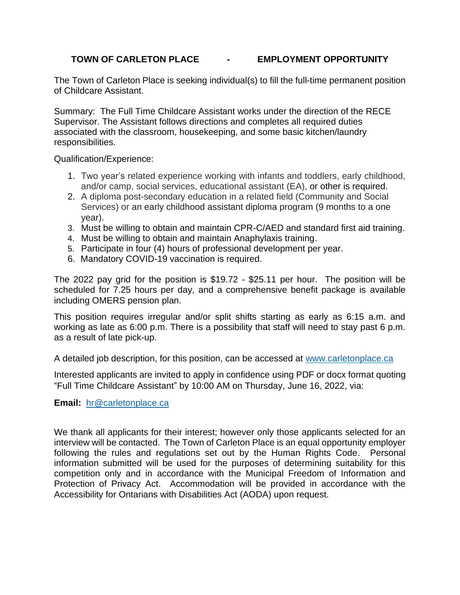### **TOWN OF CARLETON PLACE - EMPLOYMENT OPPORTUNITY**

The Town of Carleton Place is seeking individual(s) to fill the full-time permanent position of Childcare Assistant.

Summary: The Full Time Childcare Assistant works under the direction of the RECE Supervisor. The Assistant follows directions and completes all required duties associated with the classroom, housekeeping, and some basic kitchen/laundry responsibilities.

Qualification/Experience:

- 1. Two year's related experience working with infants and toddlers, early childhood, and/or camp, social services, educational assistant (EA), or other is required.
- 2. A diploma post-secondary education in a related field (Community and Social Services) or an early childhood assistant diploma program (9 months to a one year).
- 3. Must be willing to obtain and maintain CPR-C/AED and standard first aid training.
- 4. Must be willing to obtain and maintain Anaphylaxis training.
- 5. Participate in four (4) hours of professional development per year.
- 6. Mandatory COVID-19 vaccination is required.

The 2022 pay grid for the position is \$19.72 - \$25.11 per hour. The position will be scheduled for 7.25 hours per day, and a comprehensive benefit package is available including OMERS pension plan.

This position requires irregular and/or split shifts starting as early as 6:15 a.m. and working as late as 6:00 p.m. There is a possibility that staff will need to stay past 6 p.m. as a result of late pick-up.

A detailed job description, for this position, can be accessed at [www.carletonplace.ca](http://www.carletonplace.ca/)

Interested applicants are invited to apply in confidence using PDF or docx format quoting "Full Time Childcare Assistant" by 10:00 AM on Thursday, June 16, 2022, via:

**Email:** [hr@carletonplace.ca](mailto:hr@carletonplace.ca)

We thank all applicants for their interest; however only those applicants selected for an interview will be contacted. The Town of Carleton Place is an equal opportunity employer following the rules and regulations set out by the Human Rights Code. Personal information submitted will be used for the purposes of determining suitability for this competition only and in accordance with the Municipal Freedom of Information and Protection of Privacy Act. Accommodation will be provided in accordance with the Accessibility for Ontarians with Disabilities Act (AODA) upon request.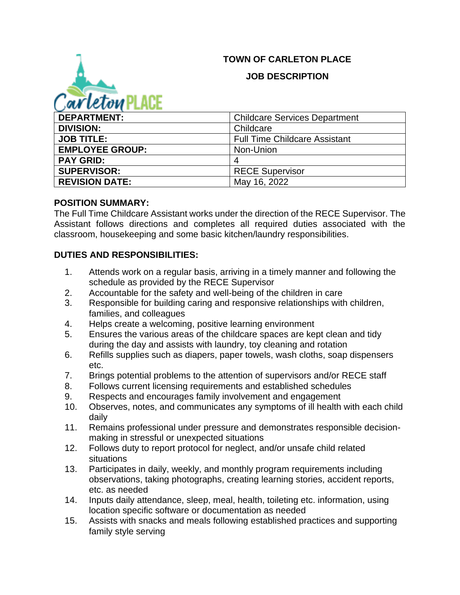# **TOWN OF CARLETON PLACE**



#### **JOB DESCRIPTION**

| <b>DEPARTMENT:</b>     | <b>Childcare Services Department</b> |
|------------------------|--------------------------------------|
| <b>DIVISION:</b>       | Childcare                            |
| <b>JOB TITLE:</b>      | <b>Full Time Childcare Assistant</b> |
| <b>EMPLOYEE GROUP:</b> | Non-Union                            |
| <b>PAY GRID:</b>       | 4                                    |
| <b>SUPERVISOR:</b>     | <b>RECE Supervisor</b>               |
| <b>REVISION DATE:</b>  | May 16, 2022                         |

### **POSITION SUMMARY:**

The Full Time Childcare Assistant works under the direction of the RECE Supervisor. The Assistant follows directions and completes all required duties associated with the classroom, housekeeping and some basic kitchen/laundry responsibilities.

# **DUTIES AND RESPONSIBILITIES:**

- 1. Attends work on a regular basis, arriving in a timely manner and following the schedule as provided by the RECE Supervisor
- 2. Accountable for the safety and well-being of the children in care
- 3. Responsible for building caring and responsive relationships with children, families, and colleagues
- 4. Helps create a welcoming, positive learning environment
- 5. Ensures the various areas of the childcare spaces are kept clean and tidy during the day and assists with laundry, toy cleaning and rotation
- 6. Refills supplies such as diapers, paper towels, wash cloths, soap dispensers etc.
- 7. Brings potential problems to the attention of supervisors and/or RECE staff
- 8. Follows current licensing requirements and established schedules
- 9. Respects and encourages family involvement and engagement
- 10. Observes, notes, and communicates any symptoms of ill health with each child daily
- 11. Remains professional under pressure and demonstrates responsible decisionmaking in stressful or unexpected situations
- 12. Follows duty to report protocol for neglect, and/or unsafe child related situations
- 13. Participates in daily, weekly, and monthly program requirements including observations, taking photographs, creating learning stories, accident reports, etc. as needed
- 14. Inputs daily attendance, sleep, meal, health, toileting etc. information, using location specific software or documentation as needed
- 15. Assists with snacks and meals following established practices and supporting family style serving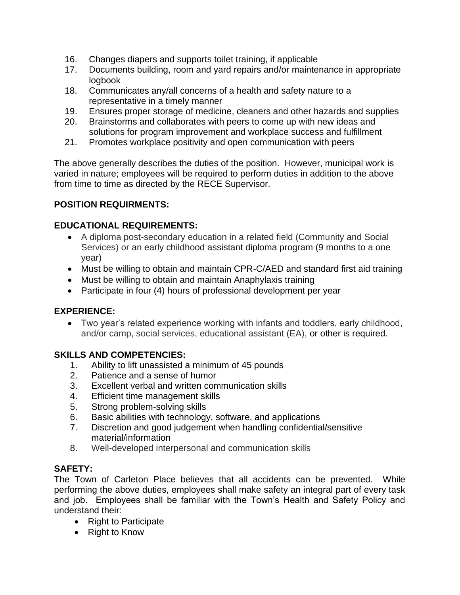- 16. Changes diapers and supports toilet training, if applicable
- 17. Documents building, room and yard repairs and/or maintenance in appropriate logbook
- 18. Communicates any/all concerns of a health and safety nature to a representative in a timely manner
- 19. Ensures proper storage of medicine, cleaners and other hazards and supplies
- 20. Brainstorms and collaborates with peers to come up with new ideas and solutions for program improvement and workplace success and fulfillment
- 21. Promotes workplace positivity and open communication with peers

The above generally describes the duties of the position. However, municipal work is varied in nature; employees will be required to perform duties in addition to the above from time to time as directed by the RECE Supervisor.

# **POSITION REQUIRMENTS:**

### **EDUCATIONAL REQUIREMENTS:**

- A diploma post-secondary education in a related field (Community and Social Services) or an early childhood assistant diploma program (9 months to a one year)
- Must be willing to obtain and maintain CPR-C/AED and standard first aid training
- Must be willing to obtain and maintain Anaphylaxis training
- Participate in four (4) hours of professional development per year

#### **EXPERIENCE:**

• Two year's related experience working with infants and toddlers, early childhood, and/or camp, social services, educational assistant (EA), or other is required.

# **SKILLS AND COMPETENCIES:**

- 1. Ability to lift unassisted a minimum of 45 pounds
- 2. Patience and a sense of humor
- 3. Excellent verbal and written communication skills
- 4. Efficient time management skills
- 5. Strong problem-solving skills
- 6. Basic abilities with technology, software, and applications
- 7. Discretion and good judgement when handling confidential/sensitive material/information
- 8. Well-developed interpersonal and communication skills

# **SAFETY:**

The Town of Carleton Place believes that all accidents can be prevented. While performing the above duties, employees shall make safety an integral part of every task and job. Employees shall be familiar with the Town's Health and Safety Policy and understand their:

- Right to Participate
- Right to Know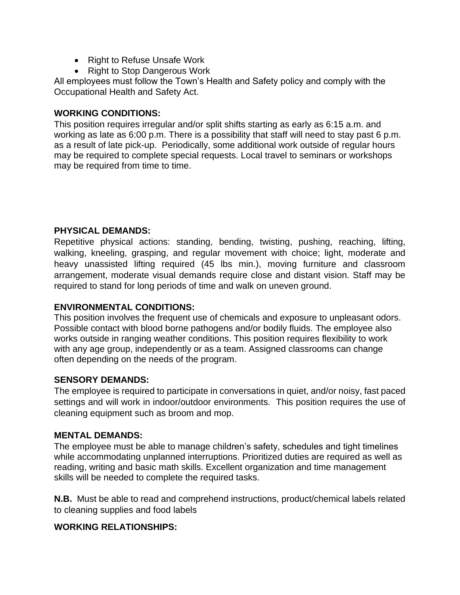- Right to Refuse Unsafe Work
- Right to Stop Dangerous Work

All employees must follow the Town's Health and Safety policy and comply with the Occupational Health and Safety Act.

#### **WORKING CONDITIONS:**

This position requires irregular and/or split shifts starting as early as 6:15 a.m. and working as late as 6:00 p.m. There is a possibility that staff will need to stay past 6 p.m. as a result of late pick-up. Periodically, some additional work outside of regular hours may be required to complete special requests. Local travel to seminars or workshops may be required from time to time.

### **PHYSICAL DEMANDS:**

Repetitive physical actions: standing, bending, twisting, pushing, reaching, lifting, walking, kneeling, grasping, and regular movement with choice; light, moderate and heavy unassisted lifting required (45 lbs min.), moving furniture and classroom arrangement, moderate visual demands require close and distant vision. Staff may be required to stand for long periods of time and walk on uneven ground.

#### **ENVIRONMENTAL CONDITIONS:**

This position involves the frequent use of chemicals and exposure to unpleasant odors. Possible contact with blood borne pathogens and/or bodily fluids. The employee also works outside in ranging weather conditions. This position requires flexibility to work with any age group, independently or as a team. Assigned classrooms can change often depending on the needs of the program.

#### **SENSORY DEMANDS:**

The employee is required to participate in conversations in quiet, and/or noisy, fast paced settings and will work in indoor/outdoor environments. This position requires the use of cleaning equipment such as broom and mop.

# **MENTAL DEMANDS:**

The employee must be able to manage children's safety, schedules and tight timelines while accommodating unplanned interruptions. Prioritized duties are required as well as reading, writing and basic math skills. Excellent organization and time management skills will be needed to complete the required tasks.

**N.B.** Must be able to read and comprehend instructions, product/chemical labels related to cleaning supplies and food labels

# **WORKING RELATIONSHIPS:**